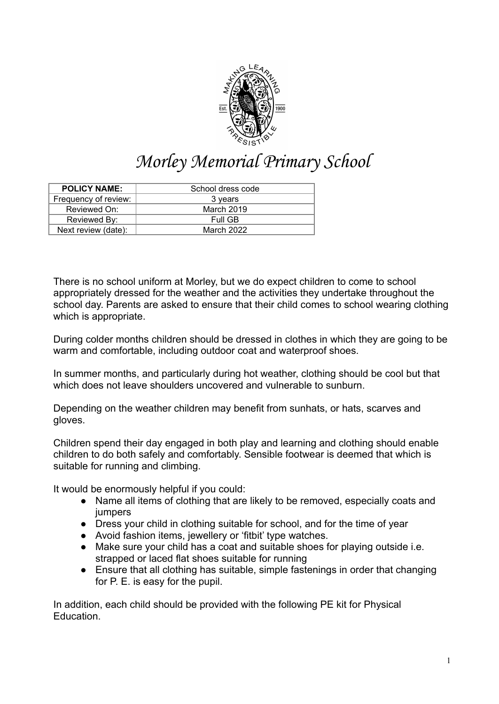

## Morley Memorial Primary School

| <b>POLICY NAME:</b>  | School dress code |
|----------------------|-------------------|
| Frequency of review: | 3 years           |
| Reviewed On:         | March 2019        |
| Reviewed By:         | Full GB           |
| Next review (date):  | March 2022        |

There is no school uniform at Morley, but we do expect children to come to school appropriately dressed for the weather and the activities they undertake throughout the school day. Parents are asked to ensure that their child comes to school wearing clothing which is appropriate.

During colder months children should be dressed in clothes in which they are going to be warm and comfortable, including outdoor coat and waterproof shoes.

In summer months, and particularly during hot weather, clothing should be cool but that which does not leave shoulders uncovered and vulnerable to sunburn.

Depending on the weather children may benefit from sunhats, or hats, scarves and gloves.

Children spend their day engaged in both play and learning and clothing should enable children to do both safely and comfortably. Sensible footwear is deemed that which is suitable for running and climbing.

It would be enormously helpful if you could:

- Name all items of clothing that are likely to be removed, especially coats and jumpers
- Dress your child in clothing suitable for school, and for the time of year
- Avoid fashion items, jewellery or 'fitbit' type watches.
- Make sure your child has a coat and suitable shoes for playing outside i.e. strapped or laced flat shoes suitable for running
- Ensure that all clothing has suitable, simple fastenings in order that changing for P. E. is easy for the pupil.

In addition, each child should be provided with the following PE kit for Physical Education.